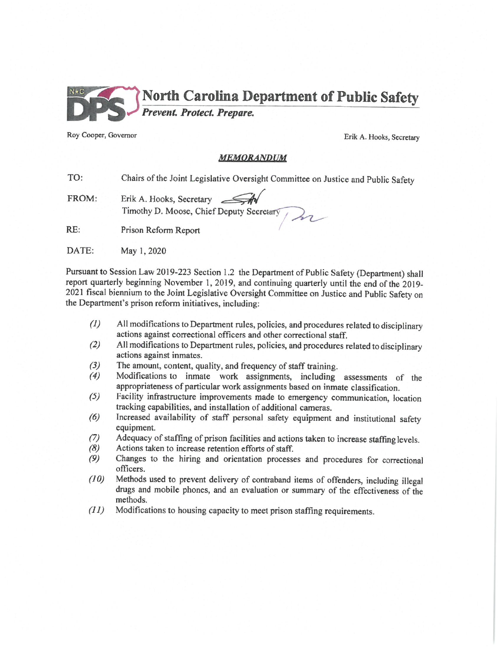

Roy Cooper, Governor

Erik A. Hooks, Secretary

#### MEMORANDUM

TO: Chairs of the Joint Legislative Oversight Committee on Justice and Public Safety

- Erik A. Hooks, Secretary FROM: Timothy D. Moose, Chief Deputy Secretary
- $RE:$ Prison Reform Report
- DATE: May 1, 2020

Pursuant to Session Law 2019-223 Section 1.2 the Department of Public Safety (Department) shall report quarterly beginning November 1, 2019, and continuing quarterly until the end of the 2019-2021 fiscal biennium to the Joint Legislative Oversight Committee on Justice and Public Safety on the Department's prison reform initiatives, including:

- All modifications to Department rules, policies, and procedures related to disciplinary  $(1)$ actions against correctional officers and other correctional staff.
- All modifications to Department rules, policies, and procedures related to disciplinary  $(2)$ actions against inmates.
- $(3)$ The amount, content, quality, and frequency of staff training.
- Modifications to inmate work assignments, including assessments of the  $(4)$ appropriateness of particular work assignments based on inmate classification.
- $(5)$ Facility infrastructure improvements made to emergency communication, location tracking capabilities, and installation of additional cameras.
- Increased availability of staff personal safety equipment and institutional safety  $(6)$ equipment.
- Adequacy of staffing of prison facilities and actions taken to increase staffing levels.  $(7)$
- $(8)$ Actions taken to increase retention efforts of staff.
- $(9)$ Changes to the hiring and orientation processes and procedures for correctional officers.
- $(10)$ Methods used to prevent delivery of contraband items of offenders, including illegal drugs and mobile phones, and an evaluation or summary of the effectiveness of the methods.
- $(11)$ Modifications to housing capacity to meet prison staffing requirements.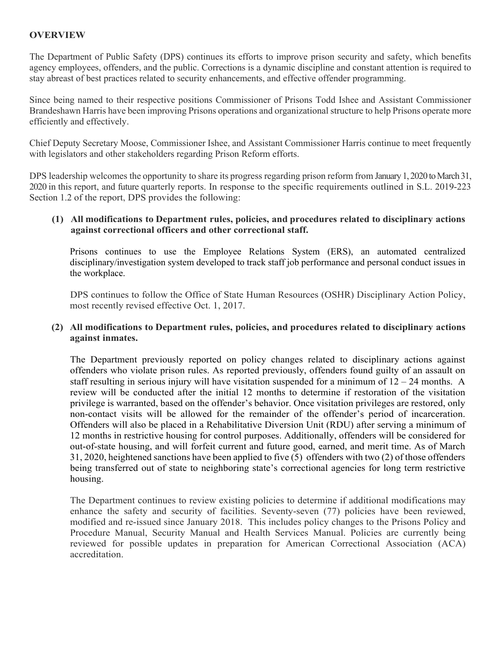## **OVERVIEW**

The Department of Public Safety (DPS) continues its efforts to improve prison security and safety, which benefits agency employees, offenders, and the public. Corrections is a dynamic discipline and constant attention is required to stay abreast of best practices related to security enhancements, and effective offender programming.

Since being named to their respective positions Commissioner of Prisons Todd Ishee and Assistant Commissioner Brandeshawn Harris have been improving Prisons operations and organizational structure to help Prisons operate more efficiently and effectively.

Chief Deputy Secretary Moose, Commissioner Ishee, and Assistant Commissioner Harris continue to meet frequently with legislators and other stakeholders regarding Prison Reform efforts.

DPS leadership welcomes the opportunity to share its progress regarding prison reform from January 1, 2020 to March 31, 2020 in this report, and future quarterly reports. In response to the specific requirements outlined in S.L. 2019-223 Section 1.2 of the report, DPS provides the following:

#### **(1) All modifications to Department rules, policies, and procedures related to disciplinary actions against correctional officers and other correctional staff.**

Prisons continues to use the Employee Relations System (ERS), an automated centralized disciplinary/investigation system developed to track staff job performance and personal conduct issues in the workplace.

DPS continues to follow the Office of State Human Resources (OSHR) Disciplinary Action Policy, most recently revised effective Oct. 1, 2017.

### **(2) All modifications to Department rules, policies, and procedures related to disciplinary actions against inmates.**

The Department previously reported on policy changes related to disciplinary actions against offenders who violate prison rules. As reported previously, offenders found guilty of an assault on staff resulting in serious injury will have visitation suspended for a minimum of  $12 - 24$  months. A review will be conducted after the initial 12 months to determine if restoration of the visitation privilege is warranted, based on the offender's behavior. Once visitation privileges are restored, only non-contact visits will be allowed for the remainder of the offender's period of incarceration. Offenders will also be placed in a Rehabilitative Diversion Unit (RDU) after serving a minimum of 12 months in restrictive housing for control purposes. Additionally, offenders will be considered for out-of-state housing, and will forfeit current and future good, earned, and merit time. As of March 31, 2020, heightened sanctions have been applied to five (5) offenders with two (2) of those offenders being transferred out of state to neighboring state's correctional agencies for long term restrictive housing.

The Department continues to review existing policies to determine if additional modifications may enhance the safety and security of facilities. Seventy-seven (77) policies have been reviewed, modified and re-issued since January 2018. This includes policy changes to the Prisons Policy and Procedure Manual, Security Manual and Health Services Manual. Policies are currently being reviewed for possible updates in preparation for American Correctional Association (ACA) accreditation.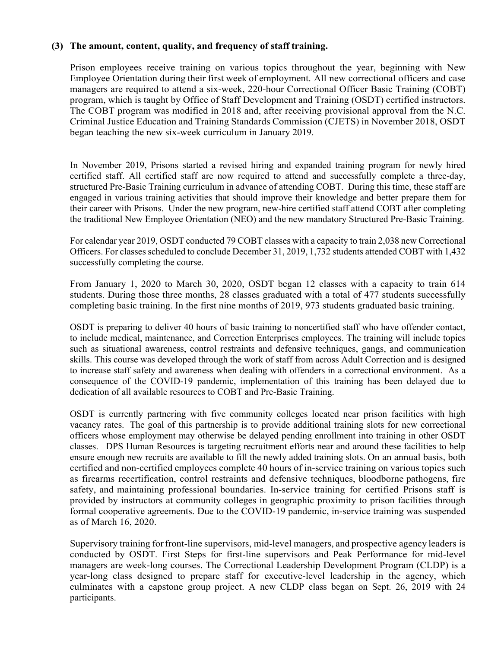### **(3) The amount, content, quality, and frequency of staff training.**

Prison employees receive training on various topics throughout the year, beginning with New Employee Orientation during their first week of employment. All new correctional officers and case managers are required to attend a six-week, 220-hour Correctional Officer Basic Training (COBT) program, which is taught by Office of Staff Development and Training (OSDT) certified instructors. The COBT program was modified in 2018 and, after receiving provisional approval from the N.C. Criminal Justice Education and Training Standards Commission (CJETS) in November 2018, OSDT began teaching the new six-week curriculum in January 2019.

In November 2019, Prisons started a revised hiring and expanded training program for newly hired certified staff. All certified staff are now required to attend and successfully complete a three-day, structured Pre-Basic Training curriculum in advance of attending COBT. During this time, these staff are engaged in various training activities that should improve their knowledge and better prepare them for their career with Prisons. Under the new program, new-hire certified staff attend COBT after completing the traditional New Employee Orientation (NEO) and the new mandatory Structured Pre-Basic Training.

For calendar year 2019, OSDT conducted 79 COBT classes with a capacity to train 2,038 new Correctional Officers. For classes scheduled to conclude December 31, 2019, 1,732 students attended COBT with 1,432 successfully completing the course.

From January 1, 2020 to March 30, 2020, OSDT began 12 classes with a capacity to train 614 students. During those three months, 28 classes graduated with a total of 477 students successfully completing basic training. In the first nine months of 2019, 973 students graduated basic training.

OSDT is preparing to deliver 40 hours of basic training to noncertified staff who have offender contact, to include medical, maintenance, and Correction Enterprises employees. The training will include topics such as situational awareness, control restraints and defensive techniques, gangs, and communication skills. This course was developed through the work of staff from across Adult Correction and is designed to increase staff safety and awareness when dealing with offenders in a correctional environment. As a consequence of the COVID-19 pandemic, implementation of this training has been delayed due to dedication of all available resources to COBT and Pre-Basic Training.

OSDT is currently partnering with five community colleges located near prison facilities with high vacancy rates. The goal of this partnership is to provide additional training slots for new correctional officers whose employment may otherwise be delayed pending enrollment into training in other OSDT classes. DPS Human Resources is targeting recruitment efforts near and around these facilities to help ensure enough new recruits are available to fill the newly added training slots. On an annual basis, both certified and non-certified employees complete 40 hours of in-service training on various topics such as firearms recertification, control restraints and defensive techniques, bloodborne pathogens, fire safety, and maintaining professional boundaries. In-service training for certified Prisons staff is provided by instructors at community colleges in geographic proximity to prison facilities through formal cooperative agreements. Due to the COVID-19 pandemic, in-service training was suspended as of March 16, 2020.

Supervisory training for front-line supervisors, mid-level managers, and prospective agency leaders is conducted by OSDT. First Steps for first-line supervisors and Peak Performance for mid-level managers are week-long courses. The Correctional Leadership Development Program (CLDP) is a year-long class designed to prepare staff for executive-level leadership in the agency, which culminates with a capstone group project. A new CLDP class began on Sept. 26, 2019 with 24 participants.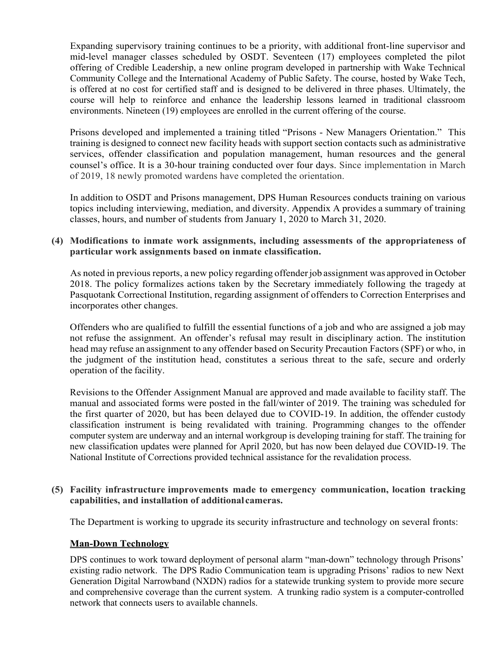Expanding supervisory training continues to be a priority, with additional front-line supervisor and mid-level manager classes scheduled by OSDT. Seventeen (17) employees completed the pilot offering of Credible Leadership, a new online program developed in partnership with Wake Technical Community College and the International Academy of Public Safety. The course, hosted by Wake Tech, is offered at no cost for certified staff and is designed to be delivered in three phases. Ultimately, the course will help to reinforce and enhance the leadership lessons learned in traditional classroom environments. Nineteen (19) employees are enrolled in the current offering of the course.

Prisons developed and implemented a training titled "Prisons - New Managers Orientation." This training is designed to connect new facility heads with support section contacts such as administrative services, offender classification and population management, human resources and the general counsel's office. It is a 30-hour training conducted over four days. Since implementation in March of 2019, 18 newly promoted wardens have completed the orientation.

In addition to OSDT and Prisons management, DPS Human Resources conducts training on various topics including interviewing, mediation, and diversity. Appendix A provides a summary of training classes, hours, and number of students from January 1, 2020 to March 31, 2020.

### **(4) Modifications to inmate work assignments, including assessments of the appropriateness of particular work assignments based on inmate classification.**

As noted in previous reports, a new policy regarding offender job assignment was approved in October 2018. The policy formalizes actions taken by the Secretary immediately following the tragedy at Pasquotank Correctional Institution, regarding assignment of offenders to Correction Enterprises and incorporates other changes.

Offenders who are qualified to fulfill the essential functions of a job and who are assigned a job may not refuse the assignment. An offender's refusal may result in disciplinary action. The institution head may refuse an assignment to any offender based on Security Precaution Factors (SPF) or who, in the judgment of the institution head, constitutes a serious threat to the safe, secure and orderly operation of the facility.

Revisions to the Offender Assignment Manual are approved and made available to facility staff. The manual and associated forms were posted in the fall/winter of 2019. The training was scheduled for the first quarter of 2020, but has been delayed due to COVID-19. In addition, the offender custody classification instrument is being revalidated with training. Programming changes to the offender computer system are underway and an internal workgroup is developing training for staff. The training for new classification updates were planned for April 2020, but has now been delayed due COVID-19. The National Institute of Corrections provided technical assistance for the revalidation process.

### **(5) Facility infrastructure improvements made to emergency communication, location tracking capabilities, and installation of additional cameras.**

The Department is working to upgrade its security infrastructure and technology on several fronts:

### **Man-Down Technology**

DPS continues to work toward deployment of personal alarm "man-down" technology through Prisons' existing radio network. The DPS Radio Communication team is upgrading Prisons' radios to new Next Generation Digital Narrowband (NXDN) radios for a statewide trunking system to provide more secure and comprehensive coverage than the current system. A trunking radio system is a computer-controlled network that connects users to available channels.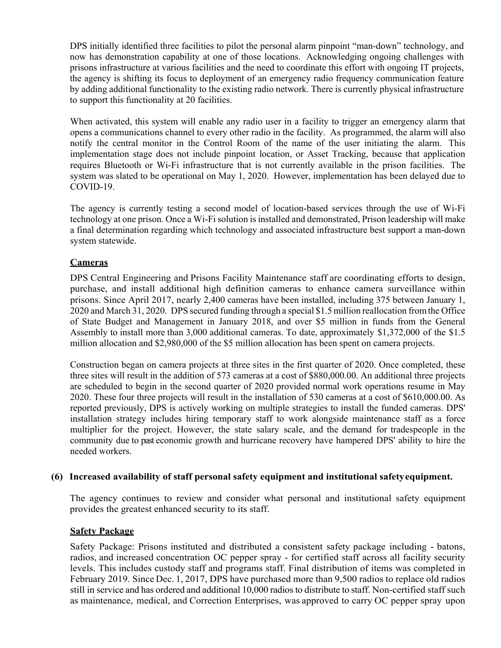DPS initially identified three facilities to pilot the personal alarm pinpoint "man-down" technology, and now has demonstration capability at one of those locations. Acknowledging ongoing challenges with prisons infrastructure at various facilities and the need to coordinate this effort with ongoing IT projects, the agency is shifting its focus to deployment of an emergency radio frequency communication feature by adding additional functionality to the existing radio network. There is currently physical infrastructure to support this functionality at 20 facilities.

When activated, this system will enable any radio user in a facility to trigger an emergency alarm that opens a communications channel to every other radio in the facility. As programmed, the alarm will also notify the central monitor in the Control Room of the name of the user initiating the alarm. This implementation stage does not include pinpoint location, or Asset Tracking, because that application requires Bluetooth or Wi-Fi infrastructure that is not currently available in the prison facilities. The system was slated to be operational on May 1, 2020. However, implementation has been delayed due to COVID-19.

The agency is currently testing a second model of location-based services through the use of Wi-Fi technology at one prison. Once a Wi-Fi solution is installed and demonstrated, Prison leadership will make a final determination regarding which technology and associated infrastructure best support a man-down system statewide.

## **Cameras**

DPS Central Engineering and Prisons Facility Maintenance staff are coordinating efforts to design, purchase, and install additional high definition cameras to enhance camera surveillance within prisons. Since April 2017, nearly 2,400 cameras have been installed, including 375 between January 1, 2020 and March 31, 2020. DPS secured funding through a special \$1.5 million reallocation from the Office of State Budget and Management in January 2018, and over \$5 million in funds from the General Assembly to install more than 3,000 additional cameras. To date, approximately \$1,372,000 of the \$1.5 million allocation and \$2,980,000 of the \$5 million allocation has been spent on camera projects.

Construction began on camera projects at three sites in the first quarter of 2020. Once completed, these three sites will result in the addition of 573 cameras at a cost of \$880,000.00. An additional three projects are scheduled to begin in the second quarter of 2020 provided normal work operations resume in May 2020. These four three projects will result in the installation of 530 cameras at a cost of \$610,000.00. As reported previously, DPS is actively working on multiple strategies to install the funded cameras. DPS' installation strategy includes hiring temporary staff to work alongside maintenance staff as a force multiplier for the project. However, the state salary scale, and the demand for tradespeople in the community due to past economic growth and hurricane recovery have hampered DPS' ability to hire the needed workers.

### **(6) Increased availability of staff personal safety equipment and institutional safety equipment.**

The agency continues to review and consider what personal and institutional safety equipment provides the greatest enhanced security to its staff.

#### **Safety Package**

Safety Package: Prisons instituted and distributed a consistent safety package including - batons, radios, and increased concentration OC pepper spray - for certified staff across all facility security levels. This includes custody staff and programs staff. Final distribution of items was completed in February 2019. Since Dec. 1, 2017, DPS have purchased more than 9,500 radios to replace old radios still in service and has ordered and additional 10,000 radios to distribute to staff. Non-certified staff such as maintenance, medical, and Correction Enterprises, was approved to carry OC pepper spray upon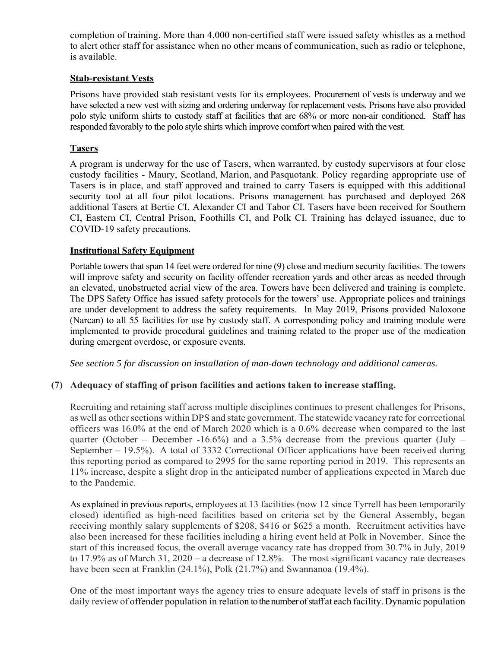completion of training. More than 4,000 non-certified staff were issued safety whistles as a method to alert other staff for assistance when no other means of communication, such as radio or telephone, is available.

## **Stab-resistant Vests**

Prisons have provided stab resistant vests for its employees. Procurement of vests is underway and we have selected a new vest with sizing and ordering underway for replacement vests. Prisons have also provided polo style uniform shirts to custody staff at facilities that are 68% or more non-air conditioned. Staff has responded favorably to the polo style shirts which improve comfort when paired with the vest.

## **Tasers**

A program is underway for the use of Tasers, when warranted, by custody supervisors at four close custody facilities - Maury, Scotland, Marion, and Pasquotank. Policy regarding appropriate use of Tasers is in place, and staff approved and trained to carry Tasers is equipped with this additional security tool at all four pilot locations. Prisons management has purchased and deployed 268 additional Tasers at Bertie CI, Alexander CI and Tabor CI. Tasers have been received for Southern CI, Eastern CI, Central Prison, Foothills CI, and Polk CI. Training has delayed issuance, due to COVID-19 safety precautions.

## **Institutional Safety Equipment**

Portable towers that span 14 feet were ordered for nine (9) close and medium security facilities. The towers will improve safety and security on facility offender recreation yards and other areas as needed through an elevated, unobstructed aerial view of the area. Towers have been delivered and training is complete. The DPS Safety Office has issued safety protocols for the towers' use. Appropriate polices and trainings are under development to address the safety requirements. In May 2019, Prisons provided Naloxone (Narcan) to all 55 facilities for use by custody staff. A corresponding policy and training module were implemented to provide procedural guidelines and training related to the proper use of the medication during emergent overdose, or exposure events.

*See section 5 for discussion on installation of man-down technology and additional cameras.*

### **(7) Adequacy of staffing of prison facilities and actions taken to increase staffing.**

Recruiting and retaining staff across multiple disciplines continues to present challenges for Prisons, as well as other sections within DPS and state government. The statewide vacancy rate for correctional officers was 16.0% at the end of March 2020 which is a 0.6% decrease when compared to the last quarter (October – December -16.6%) and a 3.5% decrease from the previous quarter (July – September – 19.5%). A total of 3332 Correctional Officer applications have been received during this reporting period as compared to 2995 for the same reporting period in 2019. This represents an 11% increase, despite a slight drop in the anticipated number of applications expected in March due to the Pandemic.

As explained in previous reports, employees at 13 facilities (now 12 since Tyrrell has been temporarily closed) identified as high-need facilities based on criteria set by the General Assembly, began receiving monthly salary supplements of \$208, \$416 or \$625 a month. Recruitment activities have also been increased for these facilities including a hiring event held at Polk in November. Since the start of this increased focus, the overall average vacancy rate has dropped from 30.7% in July, 2019 to 17.9% as of March 31, 2020 – a decrease of 12.8%. The most significant vacancy rate decreases have been seen at Franklin (24.1%), Polk (21.7%) and Swannanoa (19.4%).

One of the most important ways the agency tries to ensure adequate levels of staff in prisons is the daily review of offender population in relation to the number of staff at each facility. Dynamic population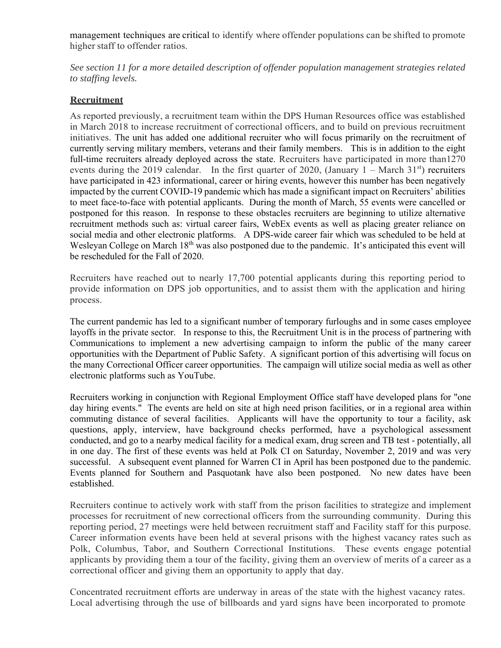management techniques are critical to identify where offender populations can be shifted to promote higher staff to offender ratios.

*See section 11 for a more detailed description of offender population management strategies related to staffing levels.* 

### **Recruitment**

As reported previously, a recruitment team within the DPS Human Resources office was established in March 2018 to increase recruitment of correctional officers, and to build on previous recruitment initiatives. The unit has added one additional recruiter who will focus primarily on the recruitment of currently serving military members, veterans and their family members. This is in addition to the eight full-time recruiters already deployed across the state. Recruiters have participated in more than1270 events during the 2019 calendar. In the first quarter of 2020, (January  $1 -$  March 31<sup>st</sup>) recruiters have participated in 423 informational, career or hiring events, however this number has been negatively impacted by the current COVID-19 pandemic which has made a significant impact on Recruiters' abilities to meet face-to-face with potential applicants. During the month of March, 55 events were cancelled or postponed for this reason. In response to these obstacles recruiters are beginning to utilize alternative recruitment methods such as: virtual career fairs, WebEx events as well as placing greater reliance on social media and other electronic platforms. A DPS-wide career fair which was scheduled to be held at Wesleyan College on March 18<sup>th</sup> was also postponed due to the pandemic. It's anticipated this event will be rescheduled for the Fall of 2020.

Recruiters have reached out to nearly 17,700 potential applicants during this reporting period to provide information on DPS job opportunities, and to assist them with the application and hiring process.

The current pandemic has led to a significant number of temporary furloughs and in some cases employee layoffs in the private sector. In response to this, the Recruitment Unit is in the process of partnering with Communications to implement a new advertising campaign to inform the public of the many career opportunities with the Department of Public Safety. A significant portion of this advertising will focus on the many Correctional Officer career opportunities. The campaign will utilize social media as well as other electronic platforms such as YouTube.

Recruiters working in conjunction with Regional Employment Office staff have developed plans for "one day hiring events." The events are held on site at high need prison facilities, or in a regional area within commuting distance of several facilities. Applicants will have the opportunity to tour a facility, ask questions, apply, interview, have background checks performed, have a psychological assessment conducted, and go to a nearby medical facility for a medical exam, drug screen and TB test - potentially, all in one day. The first of these events was held at Polk CI on Saturday, November 2, 2019 and was very successful. A subsequent event planned for Warren CI in April has been postponed due to the pandemic. Events planned for Southern and Pasquotank have also been postponed. No new dates have been established.

Recruiters continue to actively work with staff from the prison facilities to strategize and implement processes for recruitment of new correctional officers from the surrounding community. During this reporting period, 27 meetings were held between recruitment staff and Facility staff for this purpose. Career information events have been held at several prisons with the highest vacancy rates such as Polk, Columbus, Tabor, and Southern Correctional Institutions. These events engage potential applicants by providing them a tour of the facility, giving them an overview of merits of a career as a correctional officer and giving them an opportunity to apply that day.

Concentrated recruitment efforts are underway in areas of the state with the highest vacancy rates. Local advertising through the use of billboards and yard signs have been incorporated to promote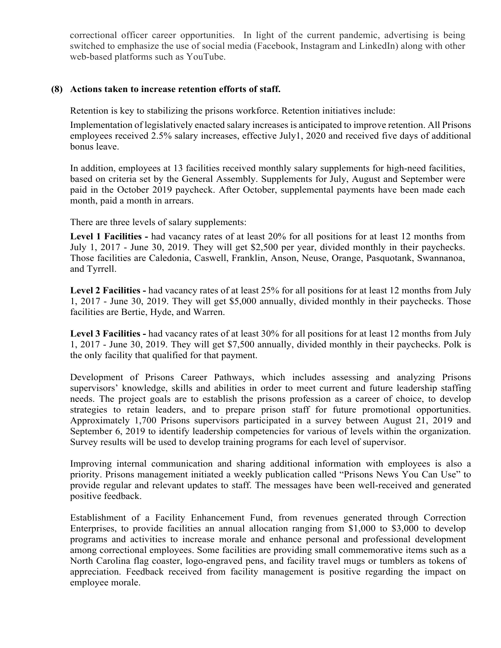correctional officer career opportunities. In light of the current pandemic, advertising is being switched to emphasize the use of social media (Facebook, Instagram and LinkedIn) along with other web-based platforms such as YouTube.

### **(8) Actions taken to increase retention efforts of staff.**

Retention is key to stabilizing the prisons workforce. Retention initiatives include:

Implementation of legislatively enacted salary increases is anticipated to improve retention. All Prisons employees received 2.5% salary increases, effective July1, 2020 and received five days of additional bonus leave.

In addition, employees at 13 facilities received monthly salary supplements for high-need facilities, based on criteria set by the General Assembly. Supplements for July, August and September were paid in the October 2019 paycheck. After October, supplemental payments have been made each month, paid a month in arrears.

There are three levels of salary supplements:

**Level 1 Facilities -** had vacancy rates of at least 20% for all positions for at least 12 months from July 1, 2017 - June 30, 2019. They will get \$2,500 per year, divided monthly in their paychecks. Those facilities are Caledonia, Caswell, Franklin, Anson, Neuse, Orange, Pasquotank, Swannanoa, and Tyrrell.

**Level 2 Facilities -** had vacancy rates of at least 25% for all positions for at least 12 months from July 1, 2017 - June 30, 2019. They will get \$5,000 annually, divided monthly in their paychecks. Those facilities are Bertie, Hyde, and Warren.

**Level 3 Facilities -** had vacancy rates of at least 30% for all positions for at least 12 months from July 1, 2017 - June 30, 2019. They will get \$7,500 annually, divided monthly in their paychecks. Polk is the only facility that qualified for that payment.

Development of Prisons Career Pathways, which includes assessing and analyzing Prisons supervisors' knowledge, skills and abilities in order to meet current and future leadership staffing needs. The project goals are to establish the prisons profession as a career of choice, to develop strategies to retain leaders, and to prepare prison staff for future promotional opportunities. Approximately 1,700 Prisons supervisors participated in a survey between August 21, 2019 and September 6, 2019 to identify leadership competencies for various of levels within the organization. Survey results will be used to develop training programs for each level of supervisor.

Improving internal communication and sharing additional information with employees is also a priority. Prisons management initiated a weekly publication called "Prisons News You Can Use" to provide regular and relevant updates to staff. The messages have been well-received and generated positive feedback.

Establishment of a Facility Enhancement Fund, from revenues generated through Correction Enterprises, to provide facilities an annual allocation ranging from \$1,000 to \$3,000 to develop programs and activities to increase morale and enhance personal and professional development among correctional employees. Some facilities are providing small commemorative items such as a North Carolina flag coaster, logo-engraved pens, and facility travel mugs or tumblers as tokens of appreciation. Feedback received from facility management is positive regarding the impact on employee morale.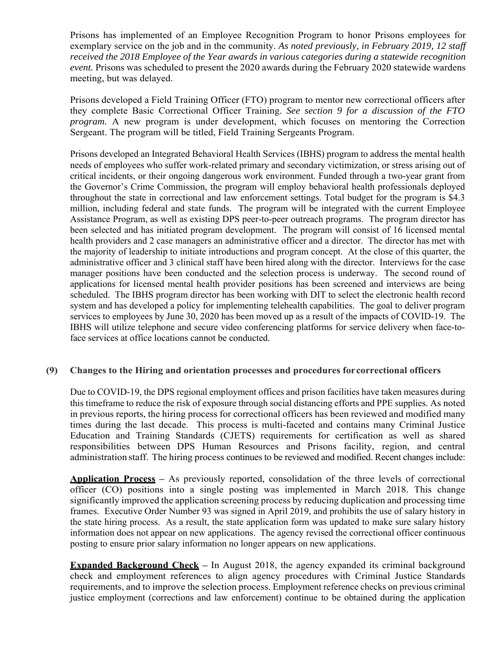Prisons has implemented of an Employee Recognition Program to honor Prisons employees for exemplary service on the job and in the community. *As noted previously, in February 2019, 12 staff received the 2018 Employee of the Year awards in various categories during a statewide recognition event.* Prisons was scheduled to present the 2020 awards during the February 2020 statewide wardens meeting, but was delayed.

Prisons developed a Field Training Officer (FTO) program to mentor new correctional officers after they complete Basic Correctional Officer Training. *See section 9 for a discussion of the FTO program.* A new program is under development, which focuses on mentoring the Correction Sergeant. The program will be titled, Field Training Sergeants Program.

Prisons developed an Integrated Behavioral Health Services (IBHS) program to address the mental health needs of employees who suffer work-related primary and secondary victimization, or stress arising out of critical incidents, or their ongoing dangerous work environment. Funded through a two-year grant from the Governor's Crime Commission, the program will employ behavioral health professionals deployed throughout the state in correctional and law enforcement settings. Total budget for the program is \$4.3 million, including federal and state funds. The program will be integrated with the current Employee Assistance Program, as well as existing DPS peer-to-peer outreach programs. The program director has been selected and has initiated program development. The program will consist of 16 licensed mental health providers and 2 case managers an administrative officer and a director. The director has met with the majority of leadership to initiate introductions and program concept. At the close of this quarter, the administrative officer and 3 clinical staff have been hired along with the director. Interviews for the case manager positions have been conducted and the selection process is underway. The second round of applications for licensed mental health provider positions has been screened and interviews are being scheduled. The IBHS program director has been working with DIT to select the electronic health record system and has developed a policy for implementing telehealth capabilities. The goal to deliver program services to employees by June 30, 2020 has been moved up as a result of the impacts of COVID-19. The IBHS will utilize telephone and secure video conferencing platforms for service delivery when face-toface services at office locations cannot be conducted.

### **(9) Changes to the Hiring and orientation processes and procedures for correctional officers**

Due to COVID-19, the DPS regional employment offices and prison facilities have taken measures during this timeframe to reduce the risk of exposure through social distancing efforts and PPE supplies. As noted in previous reports, the hiring process for correctional officers has been reviewed and modified many times during the last decade. This process is multi-faceted and contains many Criminal Justice Education and Training Standards (CJETS) requirements for certification as well as shared responsibilities between DPS Human Resources and Prisons facility, region, and central administration staff. The hiring process continues to be reviewed and modified. Recent changes include:

**Application Process –** As previously reported, consolidation of the three levels of correctional officer (CO) positions into a single posting was implemented in March 2018. This change significantly improved the application screening process by reducing duplication and processing time frames. Executive Order Number 93 was signed in April 2019, and prohibits the use of salary history in the state hiring process. As a result, the state application form was updated to make sure salary history information does not appear on new applications. The agency revised the correctional officer continuous posting to ensure prior salary information no longer appears on new applications.

**Expanded Background Check** – In August 2018, the agency expanded its criminal background check and employment references to align agency procedures with Criminal Justice Standards requirements, and to improve the selection process. Employment reference checks on previous criminal justice employment (corrections and law enforcement) continue to be obtained during the application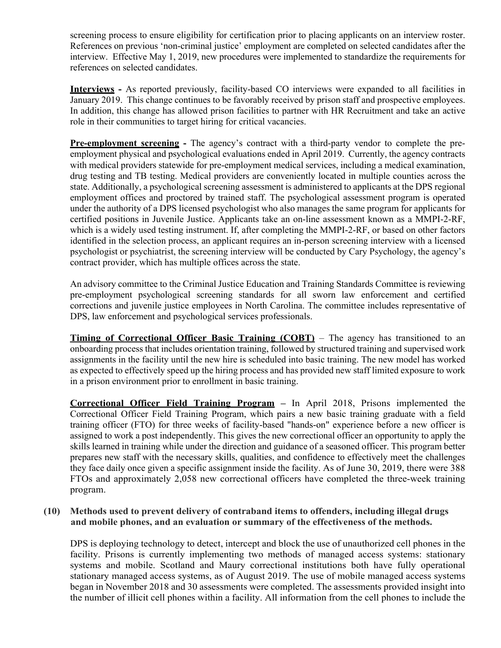screening process to ensure eligibility for certification prior to placing applicants on an interview roster. References on previous 'non-criminal justice' employment are completed on selected candidates after the interview. Effective May 1, 2019, new procedures were implemented to standardize the requirements for references on selected candidates.

**Interviews -** As reported previously, facility-based CO interviews were expanded to all facilities in January 2019. This change continues to be favorably received by prison staff and prospective employees. In addition, this change has allowed prison facilities to partner with HR Recruitment and take an active role in their communities to target hiring for critical vacancies.

**Pre-employment screening -** The agency's contract with a third-party vendor to complete the preemployment physical and psychological evaluations ended in April 2019. Currently, the agency contracts with medical providers statewide for pre-employment medical services, including a medical examination, drug testing and TB testing. Medical providers are conveniently located in multiple counties across the state. Additionally, a psychological screening assessment is administered to applicants at the DPS regional employment offices and proctored by trained staff. The psychological assessment program is operated under the authority of a DPS licensed psychologist who also manages the same program for applicants for certified positions in Juvenile Justice. Applicants take an on-line assessment known as a MMPI-2-RF, which is a widely used testing instrument. If, after completing the MMPI-2-RF, or based on other factors identified in the selection process, an applicant requires an in-person screening interview with a licensed psychologist or psychiatrist, the screening interview will be conducted by Cary Psychology, the agency's contract provider, which has multiple offices across the state.

An advisory committee to the Criminal Justice Education and Training Standards Committee is reviewing pre-employment psychological screening standards for all sworn law enforcement and certified corrections and juvenile justice employees in North Carolina. The committee includes representative of DPS, law enforcement and psychological services professionals.

**Timing of Correctional Officer Basic Training (COBT)** – The agency has transitioned to an onboarding process that includes orientation training, followed by structured training and supervised work assignments in the facility until the new hire is scheduled into basic training. The new model has worked as expected to effectively speed up the hiring process and has provided new staff limited exposure to work in a prison environment prior to enrollment in basic training.

**Correctional Officer Field Training Program –** In April 2018, Prisons implemented the Correctional Officer Field Training Program, which pairs a new basic training graduate with a field training officer (FTO) for three weeks of facility-based "hands-on" experience before a new officer is assigned to work a post independently. This gives the new correctional officer an opportunity to apply the skills learned in training while under the direction and guidance of a seasoned officer. This program better prepares new staff with the necessary skills, qualities, and confidence to effectively meet the challenges they face daily once given a specific assignment inside the facility. As of June 30, 2019, there were 388 FTOs and approximately 2,058 new correctional officers have completed the three-week training program.

### **(10) Methods used to prevent delivery of contraband items to offenders, including illegal drugs and mobile phones, and an evaluation or summary of the effectiveness of the methods.**

DPS is deploying technology to detect, intercept and block the use of unauthorized cell phones in the facility. Prisons is currently implementing two methods of managed access systems: stationary systems and mobile. Scotland and Maury correctional institutions both have fully operational stationary managed access systems, as of August 2019. The use of mobile managed access systems began in November 2018 and 30 assessments were completed. The assessments provided insight into the number of illicit cell phones within a facility. All information from the cell phones to include the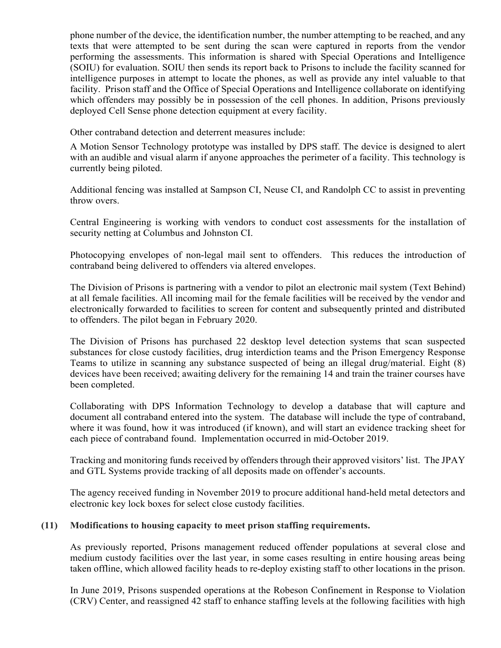phone number of the device, the identification number, the number attempting to be reached, and any texts that were attempted to be sent during the scan were captured in reports from the vendor performing the assessments. This information is shared with Special Operations and Intelligence (SOIU) for evaluation. SOIU then sends its report back to Prisons to include the facility scanned for intelligence purposes in attempt to locate the phones, as well as provide any intel valuable to that facility. Prison staff and the Office of Special Operations and Intelligence collaborate on identifying which offenders may possibly be in possession of the cell phones. In addition, Prisons previously deployed Cell Sense phone detection equipment at every facility.

Other contraband detection and deterrent measures include:

A Motion Sensor Technology prototype was installed by DPS staff. The device is designed to alert with an audible and visual alarm if anyone approaches the perimeter of a facility. This technology is currently being piloted.

Additional fencing was installed at Sampson CI, Neuse CI, and Randolph CC to assist in preventing throw overs.

Central Engineering is working with vendors to conduct cost assessments for the installation of security netting at Columbus and Johnston CI.

Photocopying envelopes of non-legal mail sent to offenders. This reduces the introduction of contraband being delivered to offenders via altered envelopes.

The Division of Prisons is partnering with a vendor to pilot an electronic mail system (Text Behind) at all female facilities. All incoming mail for the female facilities will be received by the vendor and electronically forwarded to facilities to screen for content and subsequently printed and distributed to offenders. The pilot began in February 2020.

The Division of Prisons has purchased 22 desktop level detection systems that scan suspected substances for close custody facilities, drug interdiction teams and the Prison Emergency Response Teams to utilize in scanning any substance suspected of being an illegal drug/material. Eight (8) devices have been received; awaiting delivery for the remaining 14 and train the trainer courses have been completed.

Collaborating with DPS Information Technology to develop a database that will capture and document all contraband entered into the system. The database will include the type of contraband, where it was found, how it was introduced (if known), and will start an evidence tracking sheet for each piece of contraband found. Implementation occurred in mid-October 2019.

Tracking and monitoring funds received by offenders through their approved visitors' list. The JPAY and GTL Systems provide tracking of all deposits made on offender's accounts.

The agency received funding in November 2019 to procure additional hand-held metal detectors and electronic key lock boxes for select close custody facilities.

### **(11) Modifications to housing capacity to meet prison staffing requirements.**

As previously reported, Prisons management reduced offender populations at several close and medium custody facilities over the last year, in some cases resulting in entire housing areas being taken offline, which allowed facility heads to re-deploy existing staff to other locations in the prison.

In June 2019, Prisons suspended operations at the Robeson Confinement in Response to Violation (CRV) Center, and reassigned 42 staff to enhance staffing levels at the following facilities with high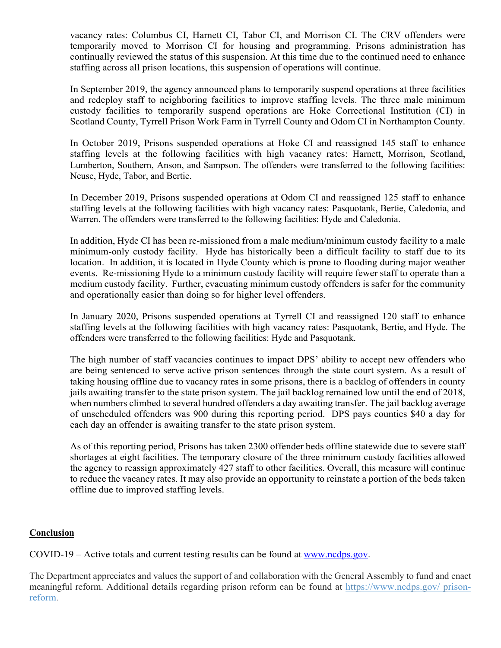vacancy rates: Columbus CI, Harnett CI, Tabor CI, and Morrison CI. The CRV offenders were temporarily moved to Morrison CI for housing and programming. Prisons administration has continually reviewed the status of this suspension. At this time due to the continued need to enhance staffing across all prison locations, this suspension of operations will continue.

In September 2019, the agency announced plans to temporarily suspend operations at three facilities and redeploy staff to neighboring facilities to improve staffing levels. The three male minimum custody facilities to temporarily suspend operations are Hoke Correctional Institution (CI) in Scotland County, Tyrrell Prison Work Farm in Tyrrell County and Odom CI in Northampton County.

In October 2019, Prisons suspended operations at Hoke CI and reassigned 145 staff to enhance staffing levels at the following facilities with high vacancy rates: Harnett, Morrison, Scotland, Lumberton, Southern, Anson, and Sampson. The offenders were transferred to the following facilities: Neuse, Hyde, Tabor, and Bertie.

In December 2019, Prisons suspended operations at Odom CI and reassigned 125 staff to enhance staffing levels at the following facilities with high vacancy rates: Pasquotank, Bertie, Caledonia, and Warren. The offenders were transferred to the following facilities: Hyde and Caledonia.

In addition, Hyde CI has been re-missioned from a male medium/minimum custody facility to a male minimum-only custody facility. Hyde has historically been a difficult facility to staff due to its location. In addition, it is located in Hyde County which is prone to flooding during major weather events. Re-missioning Hyde to a minimum custody facility will require fewer staff to operate than a medium custody facility. Further, evacuating minimum custody offenders is safer for the community and operationally easier than doing so for higher level offenders.

In January 2020, Prisons suspended operations at Tyrrell CI and reassigned 120 staff to enhance staffing levels at the following facilities with high vacancy rates: Pasquotank, Bertie, and Hyde. The offenders were transferred to the following facilities: Hyde and Pasquotank.

The high number of staff vacancies continues to impact DPS' ability to accept new offenders who are being sentenced to serve active prison sentences through the state court system. As a result of taking housing offline due to vacancy rates in some prisons, there is a backlog of offenders in county jails awaiting transfer to the state prison system. The jail backlog remained low until the end of 2018, when numbers climbed to several hundred offenders a day awaiting transfer. The jail backlog average of unscheduled offenders was 900 during this reporting period. DPS pays counties \$40 a day for each day an offender is awaiting transfer to the state prison system.

As of this reporting period, Prisons has taken 2300 offender beds offline statewide due to severe staff shortages at eight facilities. The temporary closure of the three minimum custody facilities allowed the agency to reassign approximately 427 staff to other facilities. Overall, this measure will continue to reduce the vacancy rates. It may also provide an opportunity to reinstate a portion of the beds taken offline due to improved staffing levels.

### **Conclusion**

COVID-19 – Active totals and current testing results can be found at www.ncdps.gov.

The Department appreciates and values the support of and collaboration with the General Assembly to fund and enact meaningful reform. Additional details regarding prison reform can be found at https://www.ncdps.gov/ prisonreform.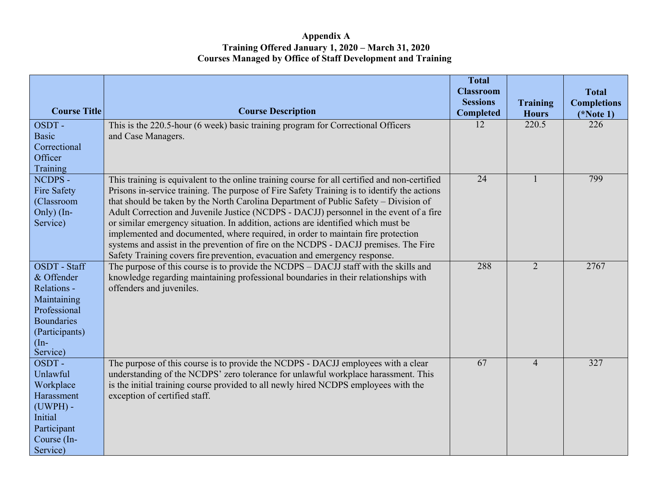### **Appendix A Training Offered January 1, 2020 – March 31, 2020 Courses Managed by Office of Staff Development and Training**

|                                                                                                                                                                         |                                                                                                                                                                                                            | <b>Total</b><br><b>Classroom</b>    |                                 | <b>Total</b>                      |
|-------------------------------------------------------------------------------------------------------------------------------------------------------------------------|------------------------------------------------------------------------------------------------------------------------------------------------------------------------------------------------------------|-------------------------------------|---------------------------------|-----------------------------------|
| <b>Course Title</b>                                                                                                                                                     | <b>Course Description</b>                                                                                                                                                                                  | <b>Sessions</b><br><b>Completed</b> | <b>Training</b><br><b>Hours</b> | <b>Completions</b><br>$(*Note 1)$ |
| OSDT-                                                                                                                                                                   | This is the 220.5-hour (6 week) basic training program for Correctional Officers                                                                                                                           | 12                                  | 220.5                           | 226                               |
| <b>Basic</b>                                                                                                                                                            | and Case Managers.                                                                                                                                                                                         |                                     |                                 |                                   |
| Correctional                                                                                                                                                            |                                                                                                                                                                                                            |                                     |                                 |                                   |
| Officer                                                                                                                                                                 |                                                                                                                                                                                                            |                                     |                                 |                                   |
| Training                                                                                                                                                                |                                                                                                                                                                                                            |                                     |                                 |                                   |
| NCDPS -                                                                                                                                                                 | This training is equivalent to the online training course for all certified and non-certified                                                                                                              | 24                                  |                                 | 799                               |
| <b>Fire Safety</b>                                                                                                                                                      | Prisons in-service training. The purpose of Fire Safety Training is to identify the actions                                                                                                                |                                     |                                 |                                   |
| (Classroom                                                                                                                                                              | that should be taken by the North Carolina Department of Public Safety – Division of                                                                                                                       |                                     |                                 |                                   |
| Only) $(In-$                                                                                                                                                            | Adult Correction and Juvenile Justice (NCDPS - DACJJ) personnel in the event of a fire                                                                                                                     |                                     |                                 |                                   |
| Service)                                                                                                                                                                | or similar emergency situation. In addition, actions are identified which must be                                                                                                                          |                                     |                                 |                                   |
|                                                                                                                                                                         | implemented and documented, where required, in order to maintain fire protection                                                                                                                           |                                     |                                 |                                   |
|                                                                                                                                                                         | systems and assist in the prevention of fire on the NCDPS - DACJJ premises. The Fire                                                                                                                       |                                     |                                 |                                   |
| OSDT - Staff                                                                                                                                                            | Safety Training covers fire prevention, evacuation and emergency response.<br>The purpose of this course is to provide the NCDPS – DACJJ staff with the skills and                                         | 288                                 | $\overline{2}$                  | 2767                              |
| & Offender                                                                                                                                                              | knowledge regarding maintaining professional boundaries in their relationships with                                                                                                                        |                                     |                                 |                                   |
| Relations -                                                                                                                                                             | offenders and juveniles.                                                                                                                                                                                   |                                     |                                 |                                   |
| Maintaining                                                                                                                                                             |                                                                                                                                                                                                            |                                     |                                 |                                   |
|                                                                                                                                                                         |                                                                                                                                                                                                            |                                     |                                 |                                   |
|                                                                                                                                                                         |                                                                                                                                                                                                            |                                     |                                 |                                   |
|                                                                                                                                                                         |                                                                                                                                                                                                            |                                     |                                 |                                   |
|                                                                                                                                                                         |                                                                                                                                                                                                            |                                     |                                 |                                   |
| Service)                                                                                                                                                                |                                                                                                                                                                                                            |                                     |                                 |                                   |
| OSDT-                                                                                                                                                                   | The purpose of this course is to provide the NCDPS - DACJJ employees with a clear                                                                                                                          |                                     | $\overline{4}$                  | 327                               |
|                                                                                                                                                                         |                                                                                                                                                                                                            |                                     |                                 |                                   |
|                                                                                                                                                                         |                                                                                                                                                                                                            |                                     |                                 |                                   |
|                                                                                                                                                                         |                                                                                                                                                                                                            |                                     |                                 |                                   |
|                                                                                                                                                                         |                                                                                                                                                                                                            |                                     |                                 |                                   |
|                                                                                                                                                                         |                                                                                                                                                                                                            |                                     |                                 |                                   |
|                                                                                                                                                                         |                                                                                                                                                                                                            |                                     |                                 |                                   |
|                                                                                                                                                                         |                                                                                                                                                                                                            |                                     |                                 |                                   |
| Professional<br><b>Boundaries</b><br>(Participants)<br>$(In-$<br>Unlawful<br>Workplace<br>Harassment<br>$(UWPH)$ -<br>Initial<br>Participant<br>Course (In-<br>Service) | understanding of the NCDPS' zero tolerance for unlawful workplace harassment. This<br>is the initial training course provided to all newly hired NCDPS employees with the<br>exception of certified staff. | 67                                  |                                 |                                   |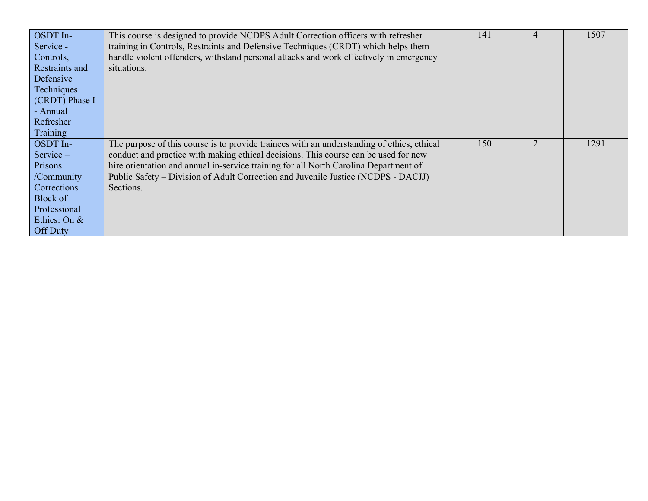| OSDT In-<br>Service -<br>Controls,<br>Restraints and<br>Defensive<br>Techniques<br>$\vert$ (CRDT) Phase I<br>- Annual<br>Refresher | This course is designed to provide NCDPS Adult Correction officers with refresher<br>training in Controls, Restraints and Defensive Techniques (CRDT) which helps them<br>handle violent offenders, withstand personal attacks and work effectively in emergency<br>situations.                                                                                             | 141 | 1507 |
|------------------------------------------------------------------------------------------------------------------------------------|-----------------------------------------------------------------------------------------------------------------------------------------------------------------------------------------------------------------------------------------------------------------------------------------------------------------------------------------------------------------------------|-----|------|
| Training                                                                                                                           |                                                                                                                                                                                                                                                                                                                                                                             |     |      |
| OSDT In-<br>$Service -$<br>Prisons<br>/Community<br>Corrections<br>Block of<br>Professional<br>Ethics: On &                        | The purpose of this course is to provide trainees with an understanding of ethics, ethical<br>conduct and practice with making ethical decisions. This course can be used for new<br>hire orientation and annual in-service training for all North Carolina Department of<br>Public Safety – Division of Adult Correction and Juvenile Justice (NCDPS - DACJJ)<br>Sections. | 150 | 1291 |
| <b>Off Duty</b>                                                                                                                    |                                                                                                                                                                                                                                                                                                                                                                             |     |      |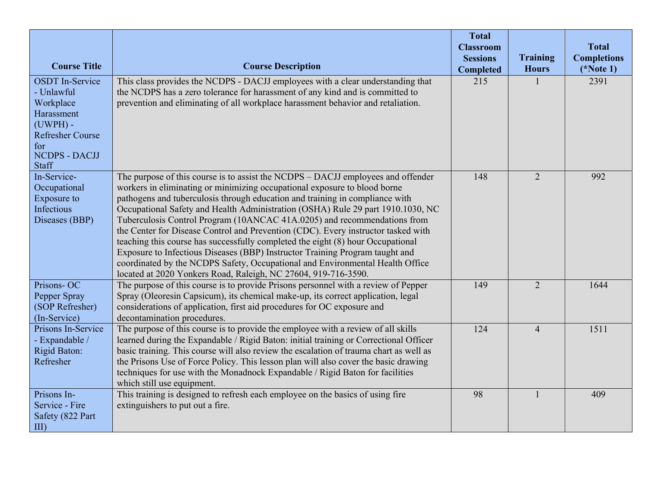| <b>Course Title</b>                                                                                                                                     | <b>Course Description</b>                                                                                                                                                                                                                                                                                                                                                                                                                                                                                                                                                                                                                                                                                                                                                                                               | <b>Total</b><br><b>Classroom</b><br><b>Sessions</b><br><b>Completed</b> | <b>Training</b><br><b>Hours</b> | <b>Total</b><br><b>Completions</b><br>$(*Note 1)$ |
|---------------------------------------------------------------------------------------------------------------------------------------------------------|-------------------------------------------------------------------------------------------------------------------------------------------------------------------------------------------------------------------------------------------------------------------------------------------------------------------------------------------------------------------------------------------------------------------------------------------------------------------------------------------------------------------------------------------------------------------------------------------------------------------------------------------------------------------------------------------------------------------------------------------------------------------------------------------------------------------------|-------------------------------------------------------------------------|---------------------------------|---------------------------------------------------|
| <b>OSDT</b> In-Service<br>- Unlawful<br>Workplace<br>Harassment<br>$(UWPH) -$<br><b>Refresher Course</b><br>for<br><b>NCDPS - DACJJ</b><br><b>Staff</b> | This class provides the NCDPS - DACJJ employees with a clear understanding that<br>the NCDPS has a zero tolerance for harassment of any kind and is committed to<br>prevention and eliminating of all workplace harassment behavior and retaliation.                                                                                                                                                                                                                                                                                                                                                                                                                                                                                                                                                                    | 215                                                                     |                                 | 2391                                              |
| In-Service-<br>Occupational<br>Exposure to<br>Infectious<br>Diseases (BBP)                                                                              | The purpose of this course is to assist the NCDPS - DACJJ employees and offender<br>workers in eliminating or minimizing occupational exposure to blood borne<br>pathogens and tuberculosis through education and training in compliance with<br>Occupational Safety and Health Administration (OSHA) Rule 29 part 1910.1030, NC<br>Tuberculosis Control Program (10ANCAC 41A.0205) and recommendations from<br>the Center for Disease Control and Prevention (CDC). Every instructor tasked with<br>teaching this course has successfully completed the eight (8) hour Occupational<br>Exposure to Infectious Diseases (BBP) Instructor Training Program taught and<br>coordinated by the NCDPS Safety, Occupational and Environmental Health Office<br>located at 2020 Yonkers Road, Raleigh, NC 27604, 919-716-3590. | 148                                                                     | $\overline{2}$                  | 992                                               |
| Prisons-OC<br>Pepper Spray<br>(SOP Refresher)<br>(In-Service)                                                                                           | The purpose of this course is to provide Prisons personnel with a review of Pepper<br>Spray (Oleoresin Capsicum), its chemical make-up, its correct application, legal<br>considerations of application, first aid procedures for OC exposure and<br>decontamination procedures.                                                                                                                                                                                                                                                                                                                                                                                                                                                                                                                                        | 149                                                                     | 2                               | 1644                                              |
| Prisons In-Service<br>- Expandable /<br><b>Rigid Baton:</b><br>Refresher                                                                                | The purpose of this course is to provide the employee with a review of all skills<br>learned during the Expandable / Rigid Baton: initial training or Correctional Officer<br>basic training. This course will also review the escalation of trauma chart as well as<br>the Prisons Use of Force Policy. This lesson plan will also cover the basic drawing<br>techniques for use with the Monadnock Expandable / Rigid Baton for facilities<br>which still use equipment.                                                                                                                                                                                                                                                                                                                                              | 124                                                                     | $\overline{4}$                  | 1511                                              |
| Prisons In-<br>Service - Fire<br>Safety (822 Part<br>$\rm{III}$                                                                                         | This training is designed to refresh each employee on the basics of using fire<br>extinguishers to put out a fire.                                                                                                                                                                                                                                                                                                                                                                                                                                                                                                                                                                                                                                                                                                      | 98                                                                      |                                 | 409                                               |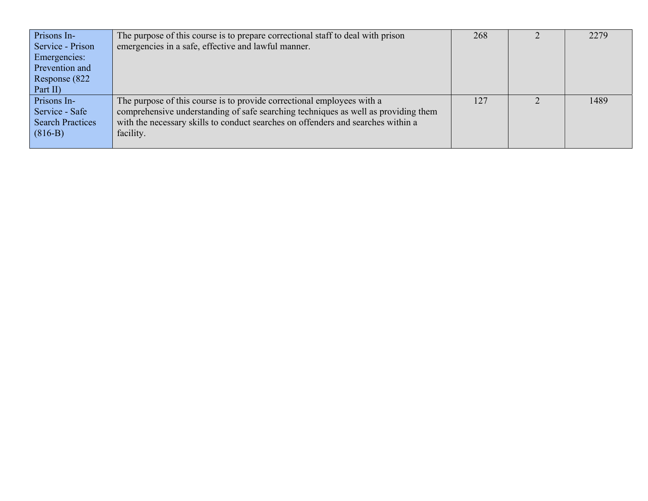| Prisons In-             | The purpose of this course is to prepare correctional staff to deal with prison    | 268 | 2279 |
|-------------------------|------------------------------------------------------------------------------------|-----|------|
| Service - Prison        | emergencies in a safe, effective and lawful manner.                                |     |      |
| <b>Emergencies:</b>     |                                                                                    |     |      |
| Prevention and          |                                                                                    |     |      |
| Response (822           |                                                                                    |     |      |
| Part II)                |                                                                                    |     |      |
| Prisons In-             | The purpose of this course is to provide correctional employees with a             | 127 | 1489 |
| Service - Safe          | comprehensive understanding of safe searching techniques as well as providing them |     |      |
| <b>Search Practices</b> | with the necessary skills to conduct searches on offenders and searches within a   |     |      |
| $(816-B)$               | facility.                                                                          |     |      |
|                         |                                                                                    |     |      |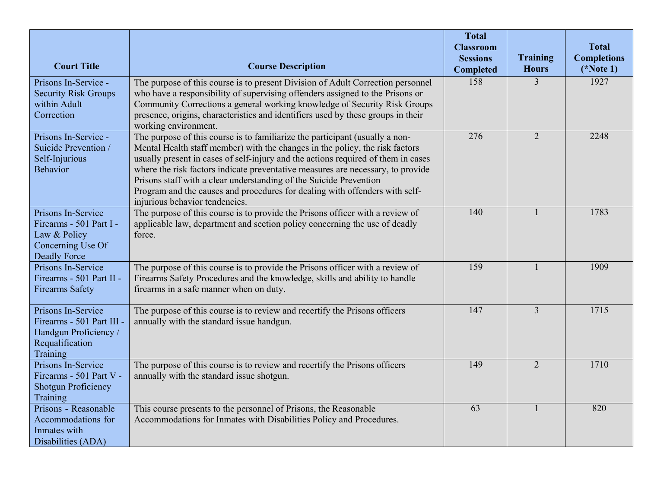|                                                     |                                                                                                                                                                   | <b>Total</b>     |                 |                    |
|-----------------------------------------------------|-------------------------------------------------------------------------------------------------------------------------------------------------------------------|------------------|-----------------|--------------------|
|                                                     |                                                                                                                                                                   | <b>Classroom</b> |                 | <b>Total</b>       |
|                                                     |                                                                                                                                                                   | <b>Sessions</b>  | <b>Training</b> | <b>Completions</b> |
| <b>Court Title</b>                                  | <b>Course Description</b>                                                                                                                                         | <b>Completed</b> | <b>Hours</b>    | $(*Note 1)$        |
| Prisons In-Service -<br><b>Security Risk Groups</b> | The purpose of this course is to present Division of Adult Correction personnel<br>who have a responsibility of supervising offenders assigned to the Prisons or  | 158              | 3               | 1927               |
| within Adult                                        | Community Corrections a general working knowledge of Security Risk Groups                                                                                         |                  |                 |                    |
| Correction                                          | presence, origins, characteristics and identifiers used by these groups in their<br>working environment.                                                          |                  |                 |                    |
| Prisons In-Service -                                | The purpose of this course is to familiarize the participant (usually a non-                                                                                      | 276              | $\overline{2}$  | 2248               |
| Suicide Prevention /<br>Self-Injurious              | Mental Health staff member) with the changes in the policy, the risk factors<br>usually present in cases of self-injury and the actions required of them in cases |                  |                 |                    |
| <b>Behavior</b>                                     | where the risk factors indicate preventative measures are necessary, to provide                                                                                   |                  |                 |                    |
|                                                     | Prisons staff with a clear understanding of the Suicide Prevention<br>Program and the causes and procedures for dealing with offenders with self-                 |                  |                 |                    |
|                                                     | injurious behavior tendencies.                                                                                                                                    |                  |                 |                    |
| Prisons In-Service<br>Firearms - 501 Part I -       | The purpose of this course is to provide the Prisons officer with a review of<br>applicable law, department and section policy concerning the use of deadly       | 140              |                 | 1783               |
| Law & Policy                                        | force.                                                                                                                                                            |                  |                 |                    |
| Concerning Use Of<br><b>Deadly Force</b>            |                                                                                                                                                                   |                  |                 |                    |
| Prisons In-Service                                  | The purpose of this course is to provide the Prisons officer with a review of                                                                                     | 159              |                 | 1909               |
| Firearms - 501 Part II -<br><b>Firearms Safety</b>  | Firearms Safety Procedures and the knowledge, skills and ability to handle<br>firearms in a safe manner when on duty.                                             |                  |                 |                    |
|                                                     |                                                                                                                                                                   |                  |                 |                    |
| Prisons In-Service<br>Firearms - 501 Part III -     | The purpose of this course is to review and recertify the Prisons officers<br>annually with the standard issue handgun.                                           | 147              | $\overline{3}$  | 1715               |
| Handgun Proficiency /                               |                                                                                                                                                                   |                  |                 |                    |
| Requalification                                     |                                                                                                                                                                   |                  |                 |                    |
| Training<br>Prisons In-Service                      | The purpose of this course is to review and recertify the Prisons officers                                                                                        | 149              | $\overline{2}$  | 1710               |
| Firearms - 501 Part V -                             | annually with the standard issue shotgun.                                                                                                                         |                  |                 |                    |
| <b>Shotgun Proficiency</b><br>Training              |                                                                                                                                                                   |                  |                 |                    |
| Prisons - Reasonable                                | This course presents to the personnel of Prisons, the Reasonable                                                                                                  | $\overline{63}$  |                 | 820                |
| Accommodations for<br>Inmates with                  | Accommodations for Inmates with Disabilities Policy and Procedures.                                                                                               |                  |                 |                    |
| Disabilities (ADA)                                  |                                                                                                                                                                   |                  |                 |                    |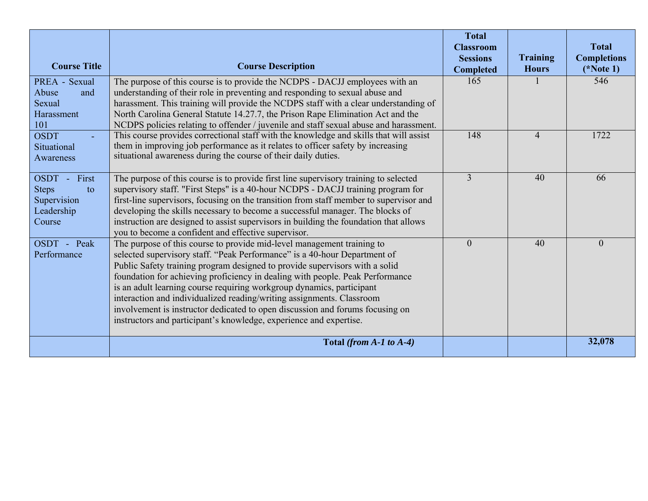|                                                                           |                                                                                                                                                                                                                                                                                                                                                                                                                                                                                                                                                                                                                              | <b>Total</b><br><b>Classroom</b><br><b>Sessions</b> | <b>Training</b> | <b>Total</b><br><b>Completions</b> |
|---------------------------------------------------------------------------|------------------------------------------------------------------------------------------------------------------------------------------------------------------------------------------------------------------------------------------------------------------------------------------------------------------------------------------------------------------------------------------------------------------------------------------------------------------------------------------------------------------------------------------------------------------------------------------------------------------------------|-----------------------------------------------------|-----------------|------------------------------------|
| <b>Course Title</b>                                                       | <b>Course Description</b>                                                                                                                                                                                                                                                                                                                                                                                                                                                                                                                                                                                                    | <b>Completed</b>                                    | <b>Hours</b>    | $(*Note 1)$                        |
| PREA - Sexual<br>Abuse<br>and<br>Sexual<br>Harassment<br>101              | The purpose of this course is to provide the NCDPS - DACJJ employees with an<br>understanding of their role in preventing and responding to sexual abuse and<br>harassment. This training will provide the NCDPS staff with a clear understanding of<br>North Carolina General Statute 14.27.7, the Prison Rape Elimination Act and the<br>NCDPS policies relating to offender / juvenile and staff sexual abuse and harassment.                                                                                                                                                                                             | 165                                                 |                 | 546                                |
| <b>OSDT</b><br>Situational<br>Awareness                                   | This course provides correctional staff with the knowledge and skills that will assist<br>them in improving job performance as it relates to officer safety by increasing<br>situational awareness during the course of their daily duties.                                                                                                                                                                                                                                                                                                                                                                                  | 148                                                 | $\overline{4}$  | 1722                               |
| OSDT - First<br><b>Steps</b><br>to<br>Supervision<br>Leadership<br>Course | The purpose of this course is to provide first line supervisory training to selected<br>supervisory staff. "First Steps" is a 40-hour NCDPS - DACJJ training program for<br>first-line supervisors, focusing on the transition from staff member to supervisor and<br>developing the skills necessary to become a successful manager. The blocks of<br>instruction are designed to assist supervisors in building the foundation that allows<br>you to become a confident and effective supervisor.                                                                                                                          | $\overline{3}$                                      | 40              | 66                                 |
| OSDT - Peak<br>Performance                                                | The purpose of this course to provide mid-level management training to<br>selected supervisory staff. "Peak Performance" is a 40-hour Department of<br>Public Safety training program designed to provide supervisors with a solid<br>foundation for achieving proficiency in dealing with people. Peak Performance<br>is an adult learning course requiring workgroup dynamics, participant<br>interaction and individualized reading/writing assignments. Classroom<br>involvement is instructor dedicated to open discussion and forums focusing on<br>instructors and participant's knowledge, experience and expertise. | $\theta$                                            | 40              | $\Omega$                           |
|                                                                           | Total (from $A-1$ to $A-4$ )                                                                                                                                                                                                                                                                                                                                                                                                                                                                                                                                                                                                 |                                                     |                 | 32,078                             |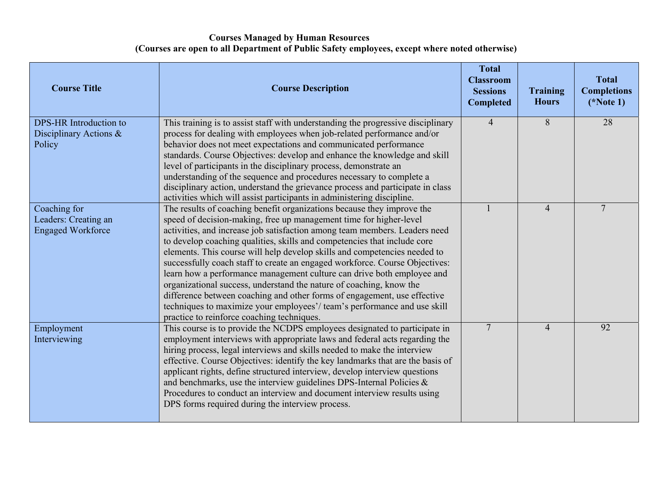# **Courses Managed by Human Resources (Courses are open to all Department of Public Safety employees, except where noted otherwise)**

| <b>Course Title</b>                                               | <b>Course Description</b>                                                                                                                                                                                                                                                                                                                                                                                                                                                                                                                                                                                                                                                                                                                                                                                                | <b>Total</b><br><b>Classroom</b><br><b>Sessions</b><br><b>Completed</b> | <b>Training</b><br><b>Hours</b> | <b>Total</b><br><b>Completions</b><br>$(*Note 1)$ |
|-------------------------------------------------------------------|--------------------------------------------------------------------------------------------------------------------------------------------------------------------------------------------------------------------------------------------------------------------------------------------------------------------------------------------------------------------------------------------------------------------------------------------------------------------------------------------------------------------------------------------------------------------------------------------------------------------------------------------------------------------------------------------------------------------------------------------------------------------------------------------------------------------------|-------------------------------------------------------------------------|---------------------------------|---------------------------------------------------|
| <b>DPS-HR</b> Introduction to<br>Disciplinary Actions &<br>Policy | This training is to assist staff with understanding the progressive disciplinary<br>process for dealing with employees when job-related performance and/or<br>behavior does not meet expectations and communicated performance<br>standards. Course Objectives: develop and enhance the knowledge and skill<br>level of participants in the disciplinary process, demonstrate an<br>understanding of the sequence and procedures necessary to complete a<br>disciplinary action, understand the grievance process and participate in class<br>activities which will assist participants in administering discipline.                                                                                                                                                                                                     | $\overline{4}$                                                          | 8                               | 28                                                |
| Coaching for<br>Leaders: Creating an<br><b>Engaged Workforce</b>  | The results of coaching benefit organizations because they improve the<br>speed of decision-making, free up management time for higher-level<br>activities, and increase job satisfaction among team members. Leaders need<br>to develop coaching qualities, skills and competencies that include core<br>elements. This course will help develop skills and competencies needed to<br>successfully coach staff to create an engaged workforce. Course Objectives:<br>learn how a performance management culture can drive both employee and<br>organizational success, understand the nature of coaching, know the<br>difference between coaching and other forms of engagement, use effective<br>techniques to maximize your employees'/team's performance and use skill<br>practice to reinforce coaching techniques. |                                                                         | $\overline{4}$                  | $\overline{7}$                                    |
| Employment<br>Interviewing                                        | This course is to provide the NCDPS employees designated to participate in<br>employment interviews with appropriate laws and federal acts regarding the<br>hiring process, legal interviews and skills needed to make the interview<br>effective. Course Objectives: identify the key landmarks that are the basis of<br>applicant rights, define structured interview, develop interview questions<br>and benchmarks, use the interview guidelines DPS-Internal Policies &<br>Procedures to conduct an interview and document interview results using<br>DPS forms required during the interview process.                                                                                                                                                                                                              | $\overline{7}$                                                          | $\overline{4}$                  | 92                                                |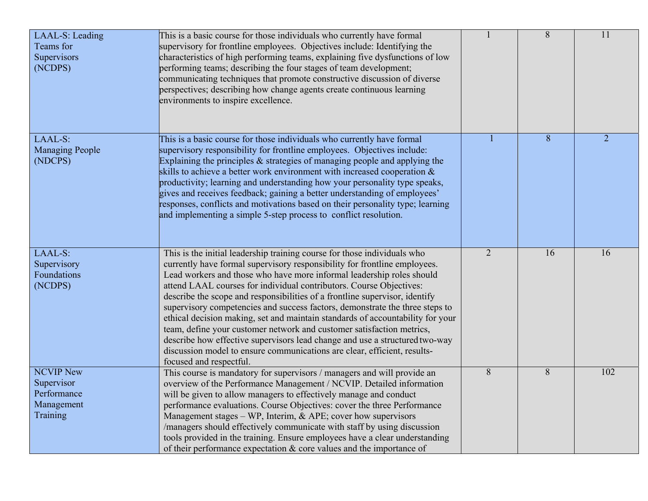| LAAL-S: Leading<br>Teams for<br>Supervisors<br>(NCDPS)                  | This is a basic course for those individuals who currently have formal<br>supervisory for frontline employees. Objectives include: Identifying the<br>characteristics of high performing teams, explaining five dysfunctions of low<br>performing teams; describing the four stages of team development;<br>communicating techniques that promote constructive discussion of diverse<br>perspectives; describing how change agents create continuous learning<br>environments to inspire excellence.                                                                                                                                                                                                                                                                                                                  |                | $\overline{8}$ | $\overline{11}$ |
|-------------------------------------------------------------------------|-----------------------------------------------------------------------------------------------------------------------------------------------------------------------------------------------------------------------------------------------------------------------------------------------------------------------------------------------------------------------------------------------------------------------------------------------------------------------------------------------------------------------------------------------------------------------------------------------------------------------------------------------------------------------------------------------------------------------------------------------------------------------------------------------------------------------|----------------|----------------|-----------------|
| LAAL-S:<br><b>Managing People</b><br>(NDCPS)                            | This is a basic course for those individuals who currently have formal<br>supervisory responsibility for frontline employees. Objectives include:<br>Explaining the principles $\&$ strategies of managing people and applying the<br>skills to achieve a better work environment with increased cooperation $\&$<br>productivity; learning and understanding how your personality type speaks,<br>gives and receives feedback; gaining a better understanding of employees'<br>responses, conflicts and motivations based on their personality type; learning<br>and implementing a simple 5-step process to conflict resolution.                                                                                                                                                                                    |                | 8              | $\overline{2}$  |
| LAAL-S:<br>Supervisory<br>Foundations<br>(NCDPS)                        | This is the initial leadership training course for those individuals who<br>currently have formal supervisory responsibility for frontline employees.<br>Lead workers and those who have more informal leadership roles should<br>attend LAAL courses for individual contributors. Course Objectives:<br>describe the scope and responsibilities of a frontline supervisor, identify<br>supervisory competencies and success factors, demonstrate the three steps to<br>ethical decision making, set and maintain standards of accountability for your<br>team, define your customer network and customer satisfaction metrics,<br>describe how effective supervisors lead change and use a structured two-way<br>discussion model to ensure communications are clear, efficient, results-<br>focused and respectful. | $\overline{2}$ | 16             | 16              |
| <b>NCVIP New</b><br>Supervisor<br>Performance<br>Management<br>Training | This course is mandatory for supervisors / managers and will provide an<br>overview of the Performance Management / NCVIP. Detailed information<br>will be given to allow managers to effectively manage and conduct<br>performance evaluations. Course Objectives: cover the three Performance<br>Management stages - WP, Interim, & APE; cover how supervisors<br>/managers should effectively communicate with staff by using discussion<br>tools provided in the training. Ensure employees have a clear understanding<br>of their performance expectation $\&$ core values and the importance of                                                                                                                                                                                                                 | 8              | 8              | 102             |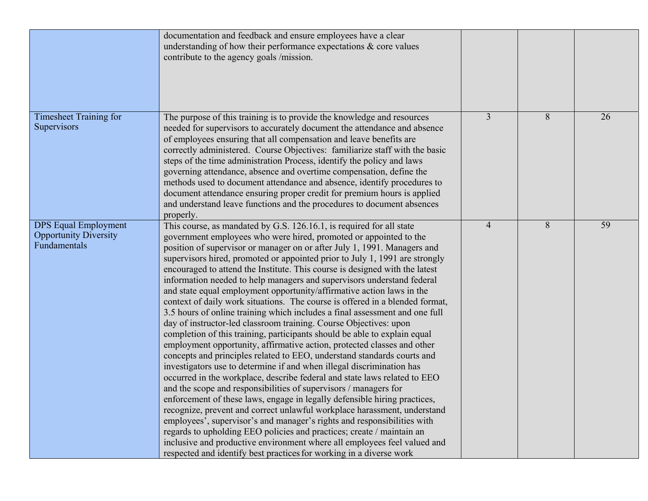|                                                                             | documentation and feedback and ensure employees have a clear<br>understanding of how their performance expectations $\&$ core values<br>contribute to the agency goals /mission.                                                                                                                                                                                                                                                                                                                                                                                                                                                                                                                                                                                                                                                                                                                                                                                                                                                                                                                                                                                                                                                                                                                                                                                                                                                                                                                                                                                                                                                                                                                        |                |   |    |
|-----------------------------------------------------------------------------|---------------------------------------------------------------------------------------------------------------------------------------------------------------------------------------------------------------------------------------------------------------------------------------------------------------------------------------------------------------------------------------------------------------------------------------------------------------------------------------------------------------------------------------------------------------------------------------------------------------------------------------------------------------------------------------------------------------------------------------------------------------------------------------------------------------------------------------------------------------------------------------------------------------------------------------------------------------------------------------------------------------------------------------------------------------------------------------------------------------------------------------------------------------------------------------------------------------------------------------------------------------------------------------------------------------------------------------------------------------------------------------------------------------------------------------------------------------------------------------------------------------------------------------------------------------------------------------------------------------------------------------------------------------------------------------------------------|----------------|---|----|
| Timesheet Training for<br>Supervisors                                       | The purpose of this training is to provide the knowledge and resources<br>needed for supervisors to accurately document the attendance and absence<br>of employees ensuring that all compensation and leave benefits are<br>correctly administered. Course Objectives: familiarize staff with the basic<br>steps of the time administration Process, identify the policy and laws<br>governing attendance, absence and overtime compensation, define the<br>methods used to document attendance and absence, identify procedures to<br>document attendance ensuring proper credit for premium hours is applied<br>and understand leave functions and the procedures to document absences<br>properly.                                                                                                                                                                                                                                                                                                                                                                                                                                                                                                                                                                                                                                                                                                                                                                                                                                                                                                                                                                                                   | $\overline{3}$ | 8 | 26 |
| <b>DPS</b> Equal Employment<br><b>Opportunity Diversity</b><br>Fundamentals | This course, as mandated by G.S. 126.16.1, is required for all state<br>government employees who were hired, promoted or appointed to the<br>position of supervisor or manager on or after July 1, 1991. Managers and<br>supervisors hired, promoted or appointed prior to July 1, 1991 are strongly<br>encouraged to attend the Institute. This course is designed with the latest<br>information needed to help managers and supervisors understand federal<br>and state equal employment opportunity/affirmative action laws in the<br>context of daily work situations. The course is offered in a blended format,<br>3.5 hours of online training which includes a final assessment and one full<br>day of instructor-led classroom training. Course Objectives: upon<br>completion of this training, participants should be able to explain equal<br>employment opportunity, affirmative action, protected classes and other<br>concepts and principles related to EEO, understand standards courts and<br>investigators use to determine if and when illegal discrimination has<br>occurred in the workplace, describe federal and state laws related to EEO<br>and the scope and responsibilities of supervisors / managers for<br>enforcement of these laws, engage in legally defensible hiring practices,<br>recognize, prevent and correct unlawful workplace harassment, understand<br>employees', supervisor's and manager's rights and responsibilities with<br>regards to upholding EEO policies and practices; create / maintain an<br>inclusive and productive environment where all employees feel valued and<br>respected and identify best practices for working in a diverse work | $\overline{4}$ | 8 | 59 |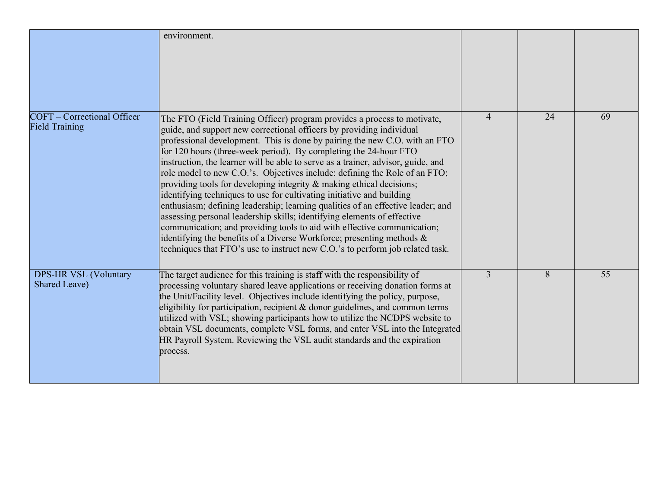|                                                             | environment.                                                                                                                                                                                                                                                                                                                                                                                                                                                                                                                                                                                                                                                                                                                                                                                                                                                                                                                                                                                                             |                |    |    |
|-------------------------------------------------------------|--------------------------------------------------------------------------------------------------------------------------------------------------------------------------------------------------------------------------------------------------------------------------------------------------------------------------------------------------------------------------------------------------------------------------------------------------------------------------------------------------------------------------------------------------------------------------------------------------------------------------------------------------------------------------------------------------------------------------------------------------------------------------------------------------------------------------------------------------------------------------------------------------------------------------------------------------------------------------------------------------------------------------|----------------|----|----|
| <b>COFT</b> – Correctional Officer<br><b>Field Training</b> | The FTO (Field Training Officer) program provides a process to motivate,<br>guide, and support new correctional officers by providing individual<br>professional development. This is done by pairing the new C.O. with an FTO<br>for 120 hours (three-week period). By completing the 24-hour FTO<br>instruction, the learner will be able to serve as a trainer, advisor, guide, and<br>role model to new C.O.'s. Objectives include: defining the Role of an FTO;<br>providing tools for developing integrity & making ethical decisions;<br>identifying techniques to use for cultivating initiative and building<br>enthusiasm; defining leadership; learning qualities of an effective leader; and<br>assessing personal leadership skills; identifying elements of effective<br>communication; and providing tools to aid with effective communication;<br>identifying the benefits of a Diverse Workforce; presenting methods &<br>techniques that FTO's use to instruct new C.O.'s to perform job related task. | $\overline{4}$ | 24 | 69 |
| <b>DPS-HR VSL (Voluntary</b><br>Shared Leave)               | The target audience for this training is staff with the responsibility of<br>processing voluntary shared leave applications or receiving donation forms at<br>the Unit/Facility level. Objectives include identifying the policy, purpose,<br>eligibility for participation, recipient $\&$ donor guidelines, and common terms<br>utilized with VSL; showing participants how to utilize the NCDPS website to<br>obtain VSL documents, complete VSL forms, and enter VSL into the Integrated<br>HR Payroll System. Reviewing the VSL audit standards and the expiration<br>process.                                                                                                                                                                                                                                                                                                                                                                                                                                      | $\overline{3}$ | 8  | 55 |